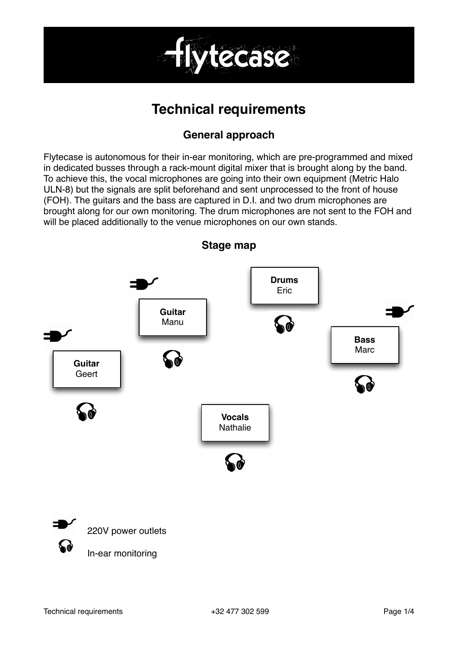

# **Technical requirements**

## **General approach**

Flytecase is autonomous for their in-ear monitoring, which are pre-programmed and mixed in dedicated busses through a rack-mount digital mixer that is brought along by the band. To achieve this, the vocal microphones are going into their own equipment (Metric Halo ULN-8) but the signals are split beforehand and sent unprocessed to the front of house (FOH). The guitars and the bass are captured in D.I. and two drum microphones are brought along for our own monitoring. The drum microphones are not sent to the FOH and will be placed additionally to the venue microphones on our own stands.

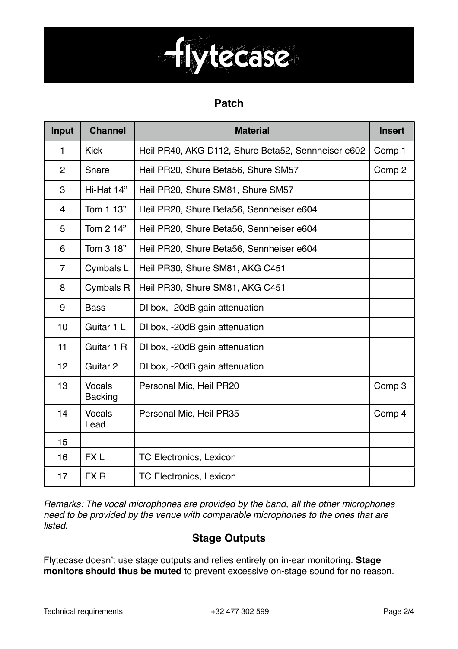

#### **Patch**

| Input          | <b>Channel</b>                  | <b>Material</b>                                    | <b>Insert</b> |
|----------------|---------------------------------|----------------------------------------------------|---------------|
| 1              | <b>Kick</b>                     | Heil PR40, AKG D112, Shure Beta52, Sennheiser e602 | Comp 1        |
| $\overline{2}$ | Snare                           | Heil PR20, Shure Beta56, Shure SM57                | Comp 2        |
| 3              | Hi-Hat 14"                      | Heil PR20, Shure SM81, Shure SM57                  |               |
| 4              | Tom 1 13"                       | Heil PR20, Shure Beta56, Sennheiser e604           |               |
| 5              | Tom 2 14"                       | Heil PR20, Shure Beta56, Sennheiser e604           |               |
| 6              | Tom 3 18"                       | Heil PR20, Shure Beta56, Sennheiser e604           |               |
| 7              | Cymbals L                       | Heil PR30, Shure SM81, AKG C451                    |               |
| 8              | <b>Cymbals R</b>                | Heil PR30, Shure SM81, AKG C451                    |               |
| 9              | <b>Bass</b>                     | DI box, -20dB gain attenuation                     |               |
| 10             | Guitar 1 L                      | DI box, -20dB gain attenuation                     |               |
| 11             | Guitar 1 R                      | DI box, -20dB gain attenuation                     |               |
| 12             | Guitar 2                        | DI box, -20dB gain attenuation                     |               |
| 13             | <b>Vocals</b><br><b>Backing</b> | Personal Mic, Heil PR20                            | Comp 3        |
| 14             | <b>Vocals</b><br>Lead           | Personal Mic, Heil PR35                            | Comp 4        |
| 15             |                                 |                                                    |               |
| 16             | FX <sub>L</sub>                 | <b>TC Electronics, Lexicon</b>                     |               |
| 17             | FX R                            | <b>TC Electronics, Lexicon</b>                     |               |

*Remarks: The vocal microphones are provided by the band, all the other microphones need to be provided by the venue with comparable microphones to the ones that are listed.*

## **Stage Outputs**

Flytecase doesn't use stage outputs and relies entirely on in-ear monitoring. **Stage monitors should thus be muted** to prevent excessive on-stage sound for no reason.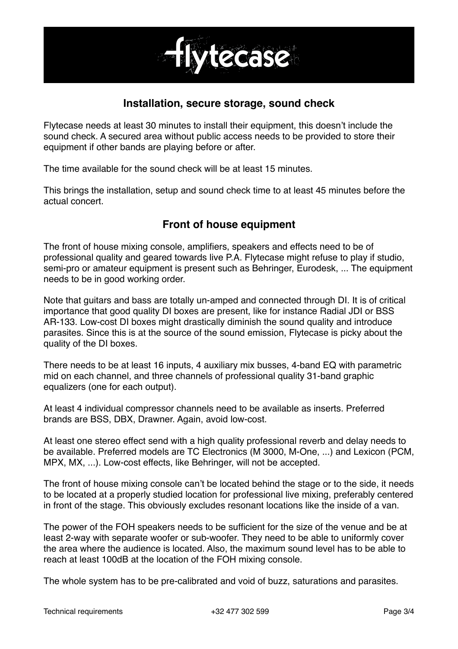

#### **Installation, secure storage, sound check**

Flytecase needs at least 30 minutes to install their equipment, this doesn't include the sound check. A secured area without public access needs to be provided to store their equipment if other bands are playing before or after.

The time available for the sound check will be at least 15 minutes.

This brings the installation, setup and sound check time to at least 45 minutes before the actual concert.

## **Front of house equipment**

The front of house mixing console, amplifiers, speakers and effects need to be of professional quality and geared towards live P.A. Flytecase might refuse to play if studio, semi-pro or amateur equipment is present such as Behringer, Eurodesk, ... The equipment needs to be in good working order.

Note that guitars and bass are totally un-amped and connected through DI. It is of critical importance that good quality DI boxes are present, like for instance Radial JDI or BSS AR-133. Low-cost DI boxes might drastically diminish the sound quality and introduce parasites. Since this is at the source of the sound emission, Flytecase is picky about the quality of the DI boxes.

There needs to be at least 16 inputs, 4 auxiliary mix busses, 4-band EQ with parametric mid on each channel, and three channels of professional quality 31-band graphic equalizers (one for each output).

At least 4 individual compressor channels need to be available as inserts. Preferred brands are BSS, DBX, Drawner. Again, avoid low-cost.

At least one stereo effect send with a high quality professional reverb and delay needs to be available. Preferred models are TC Electronics (M 3000, M-One, ...) and Lexicon (PCM, MPX, MX, ...). Low-cost effects, like Behringer, will not be accepted.

The front of house mixing console can't be located behind the stage or to the side, it needs to be located at a properly studied location for professional live mixing, preferably centered in front of the stage. This obviously excludes resonant locations like the inside of a van.

The power of the FOH speakers needs to be sufficient for the size of the venue and be at least 2-way with separate woofer or sub-woofer. They need to be able to uniformly cover the area where the audience is located. Also, the maximum sound level has to be able to reach at least 100dB at the location of the FOH mixing console.

The whole system has to be pre-calibrated and void of buzz, saturations and parasites.